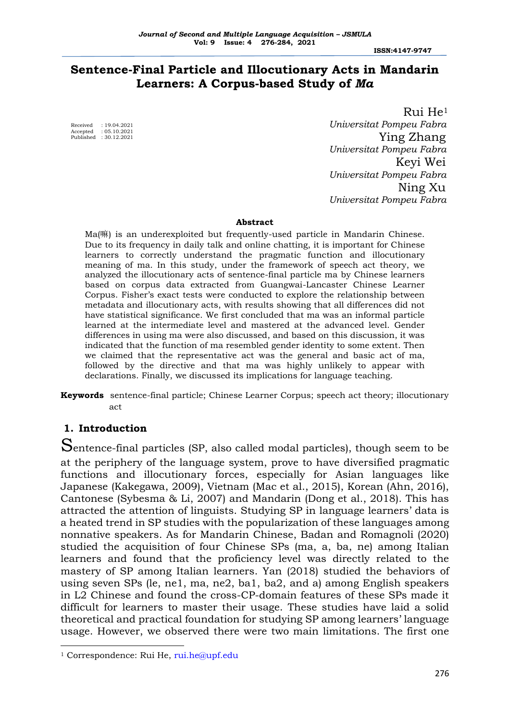**ISSN:4147-9747**

# **Sentence-Final Particle and Illocutionary Acts in Mandarin Learners: A Corpus-based Study of** *Ma*

 $: 19.04.2021$ Accepted : 05.10.2021 Published : 30.12.2021

 Rui He<sup>1</sup>  *Universitat Pompeu Fabra* Ying Zhang  *Universitat Pompeu Fabra* Keyi Wei  *Universitat Pompeu Fabra* Ning Xu  *Universitat Pompeu Fabra*

#### **Abstract**

Ma(嘛) is an underexploited but frequently-used particle in Mandarin Chinese. Due to its frequency in daily talk and online chatting, it is important for Chinese learners to correctly understand the pragmatic function and illocutionary meaning of ma. In this study, under the framework of speech act theory, we analyzed the illocutionary acts of sentence-final particle ma by Chinese learners based on corpus data extracted from Guangwai-Lancaster Chinese Learner Corpus. Fisher's exact tests were conducted to explore the relationship between metadata and illocutionary acts, with results showing that all differences did not have statistical significance. We first concluded that ma was an informal particle learned at the intermediate level and mastered at the advanced level. Gender differences in using ma were also discussed, and based on this discussion, it was indicated that the function of ma resembled gender identity to some extent. Then we claimed that the representative act was the general and basic act of ma, followed by the directive and that ma was highly unlikely to appear with declarations. Finally, we discussed its implications for language teaching.

**Keywords** sentence-final particle; Chinese Learner Corpus; speech act theory; illocutionary act

## **1. Introduction**

Sentence-final particles (SP, also called modal particles), though seem to be at the periphery of the language system, prove to have diversified pragmatic functions and illocutionary forces, especially for Asian languages like Japanese (Kakegawa, 2009), Vietnam (Mac et al., 2015), Korean (Ahn, 2016), Cantonese (Sybesma & Li, 2007) and Mandarin (Dong et al., 2018). This has attracted the attention of linguists. Studying SP in language learners' data is a heated trend in SP studies with the popularization of these languages among nonnative speakers. As for Mandarin Chinese, Badan and Romagnoli (2020) studied the acquisition of four Chinese SPs (ma, a, ba, ne) among Italian learners and found that the proficiency level was directly related to the mastery of SP among Italian learners. Yan (2018) studied the behaviors of using seven SPs (le, ne1, ma, ne2, ba1, ba2, and a) among English speakers in L2 Chinese and found the cross-CP-domain features of these SPs made it difficult for learners to master their usage. These studies have laid a solid theoretical and practical foundation for studying SP among learners' language usage. However, we observed there were two main limitations. The first one

<sup>&</sup>lt;sup>1</sup> Correspondence: Rui He, [rui.he@upf.edu](mailto:rui.he@upf.edu)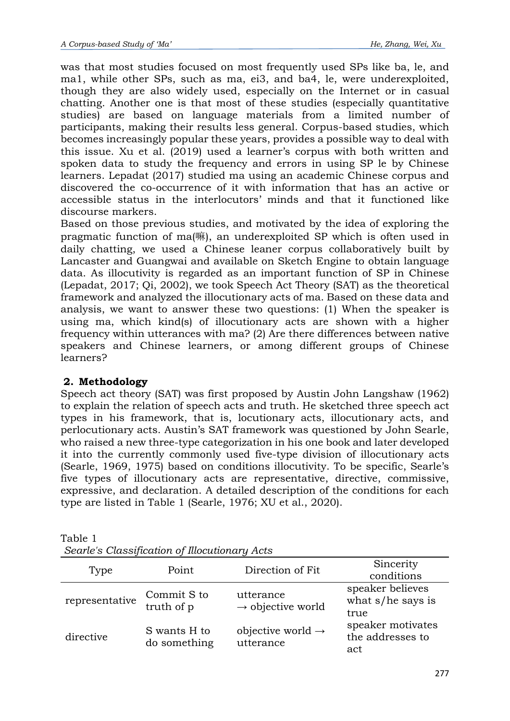was that most studies focused on most frequently used SPs like ba, le, and ma1, while other SPs, such as ma, ei3, and ba4, le, were underexploited, though they are also widely used, especially on the Internet or in casual chatting. Another one is that most of these studies (especially quantitative studies) are based on language materials from a limited number of participants, making their results less general. Corpus-based studies, which becomes increasingly popular these years, provides a possible way to deal with this issue. Xu et al. (2019) used a learner's corpus with both written and spoken data to study the frequency and errors in using SP le by Chinese learners. Lepadat (2017) studied ma using an academic Chinese corpus and discovered the co-occurrence of it with information that has an active or accessible status in the interlocutors' minds and that it functioned like discourse markers.

Based on those previous studies, and motivated by the idea of exploring the pragmatic function of ma(嘛), an underexploited SP which is often used in daily chatting, we used a Chinese leaner corpus collaboratively built by Lancaster and Guangwai and available on Sketch Engine to obtain language data. As illocutivity is regarded as an important function of SP in Chinese (Lepadat, 2017; Qi, 2002), we took Speech Act Theory (SAT) as the theoretical framework and analyzed the illocutionary acts of ma. Based on these data and analysis, we want to answer these two questions: (1) When the speaker is using ma, which kind(s) of illocutionary acts are shown with a higher frequency within utterances with ma? (2) Are there differences between native speakers and Chinese learners, or among different groups of Chinese learners?

## **2. Methodology**

Speech act theory (SAT) was first proposed by Austin John Langshaw (1962) to explain the relation of speech acts and truth. He sketched three speech act types in his framework, that is, locutionary acts, illocutionary acts, and perlocutionary acts. Austin's SAT framework was questioned by John Searle, who raised a new three-type categorization in his one book and later developed it into the currently commonly used five-type division of illocutionary acts (Searle, 1969, 1975) based on conditions illocutivity. To be specific, Searle's five types of illocutionary acts are representative, directive, commissive, expressive, and declaration. A detailed description of the conditions for each type are listed in Table 1 (Searle, 1976; XU et al., 2020).

| Type           | Point                        | Direction of Fit                           | Sincerity<br>conditions                         |
|----------------|------------------------------|--------------------------------------------|-------------------------------------------------|
| representative | Commit S to<br>truth of p    | utterance<br>$\rightarrow$ objective world | speaker believes<br>what $s/he$ says is<br>true |
| directive      | S wants H to<br>do something | objective world $\rightarrow$<br>utterance | speaker motivates<br>the addresses to<br>act    |

Table 1 *Searle's Classification of Illocutionary Acts*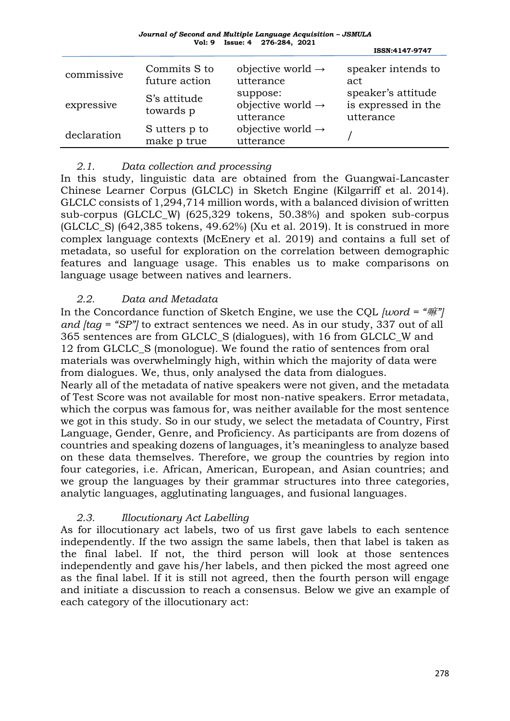| Journal of Second and Multiple Language Acquisition – JSMULA |                               |  |
|--------------------------------------------------------------|-------------------------------|--|
|                                                              | Vol: 9 Issue: 4 276-284, 2021 |  |

|             |                               |                                                        | ISSN:4147-9747                                         |
|-------------|-------------------------------|--------------------------------------------------------|--------------------------------------------------------|
| commissive  | Commits S to<br>future action | objective world $\rightarrow$<br>utterance             | speaker intends to<br>act                              |
| expressive  | S's attitude<br>towards p     | suppose:<br>objective world $\rightarrow$<br>utterance | speaker's attitude<br>is expressed in the<br>utterance |
| declaration | S utters p to<br>make p true  | objective world $\rightarrow$<br>utterance             |                                                        |

## *2.1. Data collection and processing*

In this study, linguistic data are obtained from the Guangwai-Lancaster Chinese Learner Corpus (GLCLC) in Sketch Engine (Kilgarriff et al. 2014). GLCLC consists of 1,294,714 million words, with a balanced division of written sub-corpus (GLCLC\_W) (625,329 tokens, 50.38%) and spoken sub-corpus (GLCLC\_S) (642,385 tokens, 49.62%) (Xu et al. 2019). It is construed in more complex language contexts (McEnery et al. 2019) and contains a full set of metadata, so useful for exploration on the correlation between demographic features and language usage. This enables us to make comparisons on language usage between natives and learners.

## *2.2. Data and Metadata*

In the Concordance function of Sketch Engine, we use the CQL *[word = "*嘛*"] and [tag = "SP"]* to extract sentences we need. As in our study, 337 out of all 365 sentences are from GLCLC\_S (dialogues), with 16 from GLCLC\_W and 12 from GLCLC\_S (monologue). We found the ratio of sentences from oral materials was overwhelmingly high, within which the majority of data were from dialogues. We, thus, only analysed the data from dialogues.

Nearly all of the metadata of native speakers were not given, and the metadata of Test Score was not available for most non-native speakers. Error metadata, which the corpus was famous for, was neither available for the most sentence we got in this study. So in our study, we select the metadata of Country, First Language, Gender, Genre, and Proficiency. As participants are from dozens of countries and speaking dozens of languages, it's meaningless to analyze based on these data themselves. Therefore, we group the countries by region into four categories, i.e. African, American, European, and Asian countries; and we group the languages by their grammar structures into three categories, analytic languages, agglutinating languages, and fusional languages.

## *2.3. Illocutionary Act Labelling*

As for illocutionary act labels, two of us first gave labels to each sentence independently. If the two assign the same labels, then that label is taken as the final label. If not, the third person will look at those sentences independently and gave his/her labels, and then picked the most agreed one as the final label. If it is still not agreed, then the fourth person will engage and initiate a discussion to reach a consensus. Below we give an example of each category of the illocutionary act: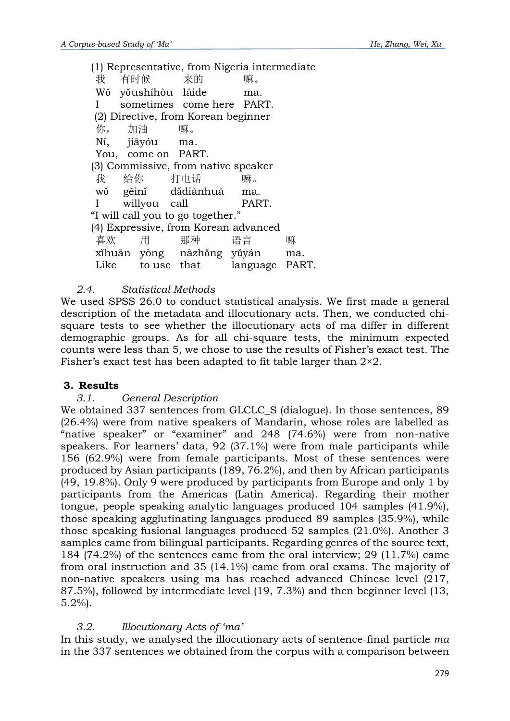(1) Representative, from Nigeria intermediate 我 有时候 来的 嘛。 Wǒ yǒushíhòu láide ma. I sometimes come here PART. (2) Directive, from Korean beginner 你, 加油 嘛。 Ní, jiāyóu ma. You, come on PART. (3) Commissive, from native speaker 我 给你 打电话 嘛。 wǒ gěinǐ dǎdiànhuà ma. I willyou call PART. "I will call you to go together." (4) Expressive, from Korean advanced 喜欢 用 那种 语言 嘛 xǐhuān yòng nàzhǒng yǔyán ma. Like to use that language PART.

## *2.4. Statistical Methods*

We used SPSS 26.0 to conduct statistical analysis. We first made a general description of the metadata and illocutionary acts. Then, we conducted chisquare tests to see whether the illocutionary acts of ma differ in different demographic groups. As for all chi-square tests, the minimum expected counts were less than 5, we chose to use the results of Fisher's exact test. The Fisher's exact test has been adapted to fit table larger than 2×2.

## **3. Results**

### *3.1. General Description*

We obtained 337 sentences from GLCLC S (dialogue). In those sentences, 89 (26.4%) were from native speakers of Mandarin, whose roles are labelled as "native speaker" or "examiner" and 248 (74.6%) were from non-native speakers. For learners' data, 92 (37.1%) were from male participants while 156 (62.9%) were from female participants. Most of these sentences were produced by Asian participants (189, 76.2%), and then by African participants (49, 19.8%). Only 9 were produced by participants from Europe and only 1 by participants from the Americas (Latin America). Regarding their mother tongue, people speaking analytic languages produced 104 samples (41.9%), those speaking agglutinating languages produced 89 samples (35.9%), while those speaking fusional languages produced 52 samples (21.0%). Another 3 samples came from bilingual participants. Regarding genres of the source text, 184 (74.2%) of the sentences came from the oral interview; 29 (11.7%) came from oral instruction and 35 (14.1%) came from oral exams. The majority of non-native speakers using ma has reached advanced Chinese level (217, 87.5%), followed by intermediate level (19, 7.3%) and then beginner level (13, 5.2%).

## *3.2. Illocutionary Acts of 'ma'*

In this study, we analysed the illocutionary acts of sentence-final particle *ma* in the 337 sentences we obtained from the corpus with a comparison between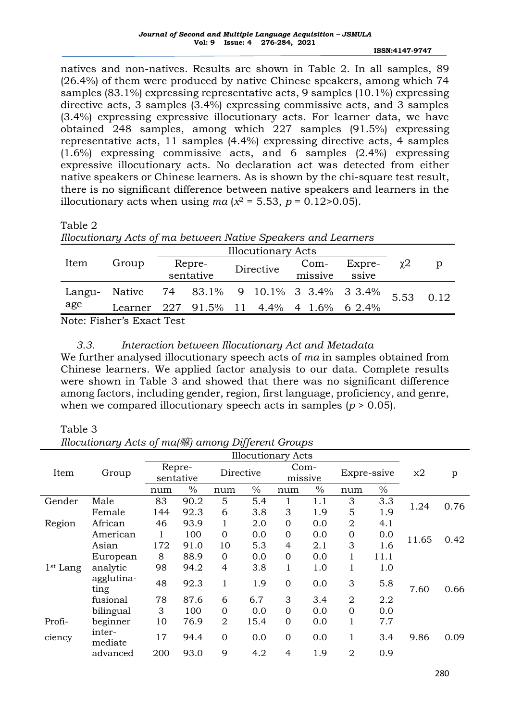**ISSN:4147-9747**

 natives and non-natives. Results are shown in Table 2. In all samples, 89 (26.4%) of them were produced by native Chinese speakers, among which 74 samples (83.1%) expressing representative acts, 9 samples (10.1%) expressing directive acts, 3 samples (3.4%) expressing commissive acts, and 3 samples (3.4%) expressing expressive illocutionary acts. For learner data, we have obtained 248 samples, among which 227 samples (91.5%) expressing representative acts, 11 samples (4.4%) expressing directive acts, 4 samples (1.6%) expressing commissive acts, and 6 samples (2.4%) expressing expressive illocutionary acts. No declaration act was detected from either native speakers or Chinese learners. As is shown by the chi-square test result, there is no significant difference between native speakers and learners in the illocutionary acts when using  $ma(x^2 = 5.53, p = 0.12 > 0.05)$ .

Table 2

|  |  | Illocutionary Acts of ma between Native Speakers and Learners |
|--|--|---------------------------------------------------------------|
|  |  |                                                               |

|        |                                         | <b>Illocutionary Acts</b> |           |  |           |  |         |                                     |          |      |  |
|--------|-----------------------------------------|---------------------------|-----------|--|-----------|--|---------|-------------------------------------|----------|------|--|
| Item   | Group                                   |                           | Repre-    |  | Directive |  | $Com-$  | Expre-                              | $\chi$ 2 |      |  |
|        |                                         |                           | sentative |  |           |  | missive | ssive                               |          |      |  |
| Langu- | Native                                  |                           |           |  |           |  |         | 74 83.1% 9 10.1% 3 3.4% 3 3.4% 5.53 |          | 0.12 |  |
| age    | Learner 227 91.5% 11 4.4% 4 1.6% 6 2.4% |                           |           |  |           |  |         |                                     |          |      |  |
|        | Note: Fisher's Froot Test               |                           |           |  |           |  |         |                                     |          |      |  |

Note: Fisher's Exact Test

## *3.3. Interaction between Illocutionary Act and Metadata*

We further analysed illocutionary speech acts of *ma* in samples obtained from Chinese learners. We applied factor analysis to our data. Complete results were shown in Table 3 and showed that there was no significant difference among factors, including gender, region, first language, proficiency, and genre, when we compared illocutionary speech acts in samples ( $p > 0.05$ ).

Table 3

*Illocutionary Acts of ma(*嘛*) among Different Groups*

|                      |                    | <b>Illocutionary Acts</b> |               |                |               |                 |      |                |               |       |      |
|----------------------|--------------------|---------------------------|---------------|----------------|---------------|-----------------|------|----------------|---------------|-------|------|
| Item                 | Group              | Repre-                    |               |                | Directive     | Com-<br>missive |      | Expre-ssive    |               | x2    | p    |
|                      |                    |                           | sentative     |                |               |                 |      |                |               |       |      |
|                      |                    | num                       | $\frac{0}{0}$ | num            | $\frac{0}{0}$ | num             | $\%$ | num            | $\frac{0}{0}$ |       |      |
| Gender               | Male               | 83                        | 90.2          | 5              | 5.4           |                 | 1.1  | 3              | 3.3           | 1.24  | 0.76 |
|                      | Female             | 144                       | 92.3          | 6              | 3.8           | 3               | 1.9  | 5              | 1.9           |       |      |
| Region               | African            | 46                        | 93.9          | 1              | 2.0           | $\overline{0}$  | 0.0  | $\overline{2}$ | 4.1           |       |      |
|                      | American           | 1                         | 100           | $\overline{0}$ | 0.0           | $\overline{0}$  | 0.0  | $\mathbf{0}$   | 0.0           | 11.65 | 0.42 |
|                      | Asian              | 172                       | 91.0          | 10             | 5.3           | $\overline{4}$  | 2.1  | 3              | 1.6           |       |      |
|                      | European           | 8                         | 88.9          | $\overline{0}$ | 0.0           | $\overline{0}$  | 0.0  | 1              | 11.1          |       |      |
| 1 <sup>st</sup> Lang | analytic           | 98                        | 94.2          | $\overline{4}$ | 3.8           | 1               | 1.0  | 1              | 1.0           |       |      |
|                      | agglutina-<br>ting | 48                        | 92.3          | 1              | 1.9           | $\overline{0}$  | 0.0  | 3              | 5.8           | 7.60  | 0.66 |
|                      | fusional           | 78                        | 87.6          | 6              | 6.7           | 3               | 3.4  | $\overline{2}$ | 2.2           |       |      |
|                      | bilingual          | 3                         | 100           | $\overline{0}$ | 0.0           | $\overline{0}$  | 0.0  | $\overline{0}$ | 0.0           |       |      |
| Profi-               | beginner           | 10                        | 76.9          | $\overline{2}$ | 15.4          | $\overline{0}$  | 0.0  | $\mathbf 1$    | 7.7           |       |      |
| ciency               | inter-<br>mediate  | 17                        | 94.4          | $\overline{0}$ | 0.0           | $\overline{0}$  | 0.0  | $\mathbf 1$    | 3.4           | 9.86  | 0.09 |
|                      | advanced           | 200                       | 93.0          | 9              | 4.2           | 4               | 1.9  | $\overline{2}$ | 0.9           |       |      |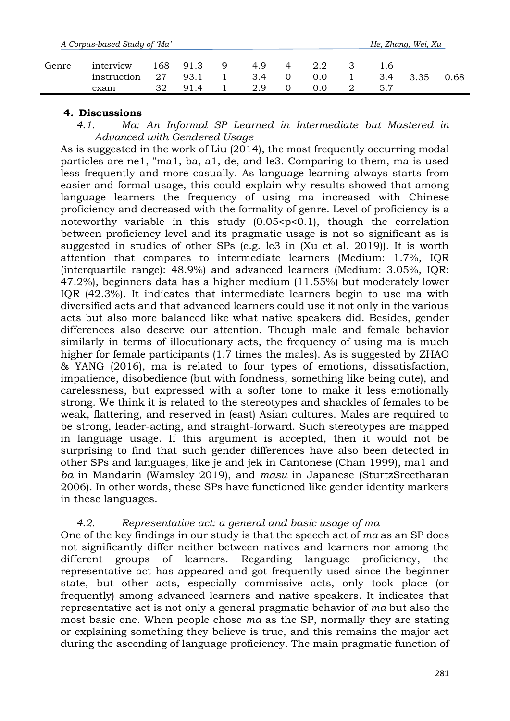|       | A Corpus-based Study of 'Ma'     |                   |                     |   |                   |   |     |                   | He, Zhang, Wei, Xu |      |
|-------|----------------------------------|-------------------|---------------------|---|-------------------|---|-----|-------------------|--------------------|------|
| Genre | interview<br>instruction<br>exam | 168 -<br>27<br>32 | 91.3<br>93.1<br>914 | Q | 4.9<br>3.4<br>2.9 | 4 | 0.0 | 1.6<br>3.4<br>5.7 | 3.35               | 0.68 |

## **4. Discussions**

*4.1. Ma: An Informal SP Learned in Intermediate but Mastered in Advanced with Gendered Usage*

As is suggested in the work of Liu (2014), the most frequently occurring modal particles are ne1, "ma1, ba, a1, de, and le3. Comparing to them, ma is used less frequently and more casually. As language learning always starts from easier and formal usage, this could explain why results showed that among language learners the frequency of using ma increased with Chinese proficiency and decreased with the formality of genre. Level of proficiency is a noteworthy variable in this study  $(0.05 < p < 0.1)$ , though the correlation between proficiency level and its pragmatic usage is not so significant as is suggested in studies of other SPs (e.g. le3 in (Xu et al. 2019)). It is worth attention that compares to intermediate learners (Medium: 1.7%, IQR (interquartile range): 48.9%) and advanced learners (Medium: 3.05%, IQR: 47.2%), beginners data has a higher medium (11.55%) but moderately lower IQR (42.3%). It indicates that intermediate learners begin to use ma with diversified acts and that advanced learners could use it not only in the various acts but also more balanced like what native speakers did. Besides, gender differences also deserve our attention. Though male and female behavior similarly in terms of illocutionary acts, the frequency of using ma is much higher for female participants (1.7 times the males). As is suggested by ZHAO & YANG (2016), ma is related to four types of emotions, dissatisfaction, impatience, disobedience (but with fondness, something like being cute), and carelessness, but expressed with a softer tone to make it less emotionally strong. We think it is related to the stereotypes and shackles of females to be weak, flattering, and reserved in (east) Asian cultures. Males are required to be strong, leader-acting, and straight-forward. Such stereotypes are mapped in language usage. If this argument is accepted, then it would not be surprising to find that such gender differences have also been detected in other SPs and languages, like je and jek in Cantonese (Chan 1999), ma1 and *ba* in Mandarin (Wamsley 2019), and *masu* in Japanese (SturtzSreetharan 2006). In other words, these SPs have functioned like gender identity markers in these languages.

## *4.2. Representative act: a general and basic usage of ma*

One of the key findings in our study is that the speech act of *ma* as an SP does not significantly differ neither between natives and learners nor among the different groups of learners. Regarding language proficiency, the representative act has appeared and got frequently used since the beginner state, but other acts, especially commissive acts, only took place (or frequently) among advanced learners and native speakers. It indicates that representative act is not only a general pragmatic behavior of *ma* but also the most basic one. When people chose *ma* as the SP, normally they are stating or explaining something they believe is true, and this remains the major act during the ascending of language proficiency. The main pragmatic function of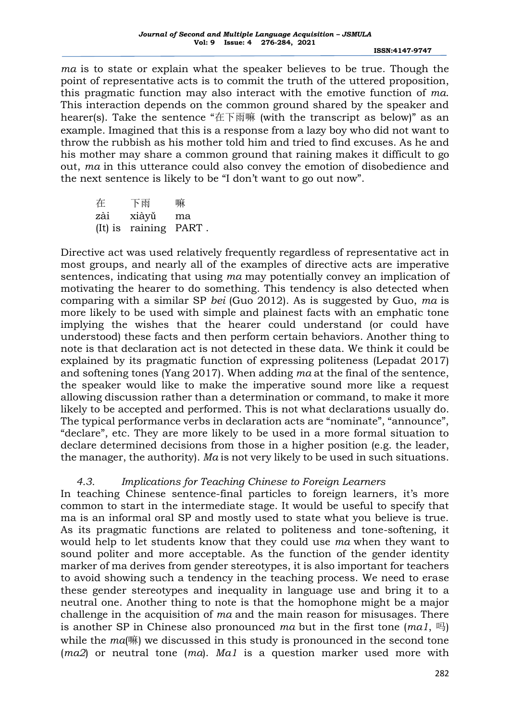**ISSN:4147-9747**

 *ma* is to state or explain what the speaker believes to be true. Though the point of representative acts is to commit the truth of the uttered proposition, this pragmatic function may also interact with the emotive function of *ma*. This interaction depends on the common ground shared by the speaker and hearer(s). Take the sentence "在下雨嘛 (with the transcript as below)" as an example. Imagined that this is a response from a lazy boy who did not want to throw the rubbish as his mother told him and tried to find excuses. As he and his mother may share a common ground that raining makes it difficult to go out, *ma* in this utterance could also convey the emotion of disobedience and the next sentence is likely to be "I don't want to go out now".

在 下雨 嘛 zài xiàyǔ ma (It) is raining PART .

Directive act was used relatively frequently regardless of representative act in most groups, and nearly all of the examples of directive acts are imperative sentences, indicating that using *ma* may potentially convey an implication of motivating the hearer to do something. This tendency is also detected when comparing with a similar SP *bei* (Guo 2012). As is suggested by Guo, *ma* is more likely to be used with simple and plainest facts with an emphatic tone implying the wishes that the hearer could understand (or could have understood) these facts and then perform certain behaviors. Another thing to note is that declaration act is not detected in these data. We think it could be explained by its pragmatic function of expressing politeness (Lepadat 2017) and softening tones (Yang 2017). When adding *ma* at the final of the sentence, the speaker would like to make the imperative sound more like a request allowing discussion rather than a determination or command, to make it more likely to be accepted and performed. This is not what declarations usually do. The typical performance verbs in declaration acts are "nominate", "announce", "declare", etc. They are more likely to be used in a more formal situation to declare determined decisions from those in a higher position (e.g. the leader, the manager, the authority). *Ma* is not very likely to be used in such situations.

## *4.3. Implications for Teaching Chinese to Foreign Learners*

In teaching Chinese sentence-final particles to foreign learners, it's more common to start in the intermediate stage. It would be useful to specify that ma is an informal oral SP and mostly used to state what you believe is true. As its pragmatic functions are related to politeness and tone-softening, it would help to let students know that they could use *ma* when they want to sound politer and more acceptable. As the function of the gender identity marker of ma derives from gender stereotypes, it is also important for teachers to avoid showing such a tendency in the teaching process. We need to erase these gender stereotypes and inequality in language use and bring it to a neutral one. Another thing to note is that the homophone might be a major challenge in the acquisition of *ma* and the main reason for misusages. There is another SP in Chinese also pronounced *ma* but in the first tone (*ma1*, 吗) while the *ma*(嘛) we discussed in this study is pronounced in the second tone (*ma2*) or neutral tone (*ma*). *Ma1* is a question marker used more with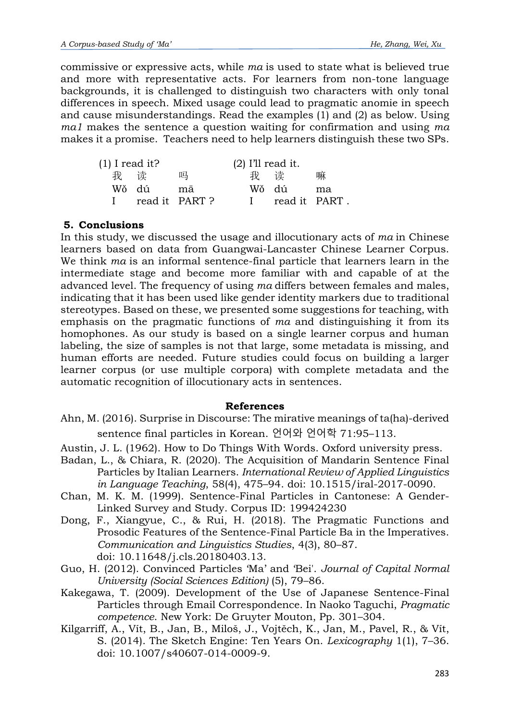commissive or expressive acts, while *ma* is used to state what is believed true and more with representative acts. For learners from non-tone language backgrounds, it is challenged to distinguish two characters with only tonal differences in speech. Mixed usage could lead to pragmatic anomie in speech and cause misunderstandings. Read the examples (1) and (2) as below. Using *ma1* makes the sentence a question waiting for confirmation and using *ma* makes it a promise. Teachers need to help learners distinguish these two SPs.

| $(1)$ I read it? |     |                |       | $(2)$ I'll read it. |    |
|------------------|-----|----------------|-------|---------------------|----|
|                  | 我 读 | 吗              |       | 我 读                 | 嘛  |
| Wǒ dú            |     | mā             | Wǒ dú |                     | ma |
|                  |     | read it PART ? |       | read it PART.       |    |

## **5. Conclusions**

In this study, we discussed the usage and illocutionary acts of *ma* in Chinese learners based on data from Guangwai-Lancaster Chinese Learner Corpus. We think *ma* is an informal sentence-final particle that learners learn in the intermediate stage and become more familiar with and capable of at the advanced level. The frequency of using *ma* differs between females and males, indicating that it has been used like gender identity markers due to traditional stereotypes. Based on these, we presented some suggestions for teaching, with emphasis on the pragmatic functions of *ma* and distinguishing it from its homophones. As our study is based on a single learner corpus and human labeling, the size of samples is not that large, some metadata is missing, and human efforts are needed. Future studies could focus on building a larger learner corpus (or use multiple corpora) with complete metadata and the automatic recognition of illocutionary acts in sentences.

### **References**

- Ahn, M. (2016). Surprise in Discourse: The mirative meanings of ta(ha)-derived sentence final particles in Korean. 언어와 언어학 71:95–113.
- Austin, J. L. (1962). How to Do Things With Words. Oxford university press.
- Badan, L., & Chiara, R. (2020). The Acquisition of Mandarin Sentence Final Particles by Italian Learners. *International Review of Applied Linguistics in Language Teaching*, 58(4), 475–94. doi: 10.1515/iral-2017-0090.
- Chan, M. K. M. (1999). Sentence-Final Particles in Cantonese: A Gender-Linked Survey and Study. Corpus ID: 199424230
- Dong, F., Xiangyue, C., & Rui, H. (2018). The Pragmatic Functions and Prosodic Features of the Sentence-Final Particle Ba in the Imperatives. *Communication and Linguistics Studies*, 4(3), 80–87. doi: 10.11648/j.cls.20180403.13.
- Guo, H. (2012). Convinced Particles 'Ma' and 'Bei'. *Journal of Capital Normal University (Social Sciences Edition)* (5), 79–86.
- Kakegawa, T. (2009). Development of the Use of Japanese Sentence-Final Particles through Email Correspondence. In Naoko Taguchi, *Pragmatic competence*. New York: De Gruyter Mouton, Pp. 301–304.
- Kilgarriff, A., Vít, B., Jan, B., Miloš, J., Vojtěch, K., Jan, M., Pavel, R., & Vít, S. (2014). The Sketch Engine: Ten Years On. *Lexicography* 1(1), 7–36. doi: 10.1007/s40607-014-0009-9.